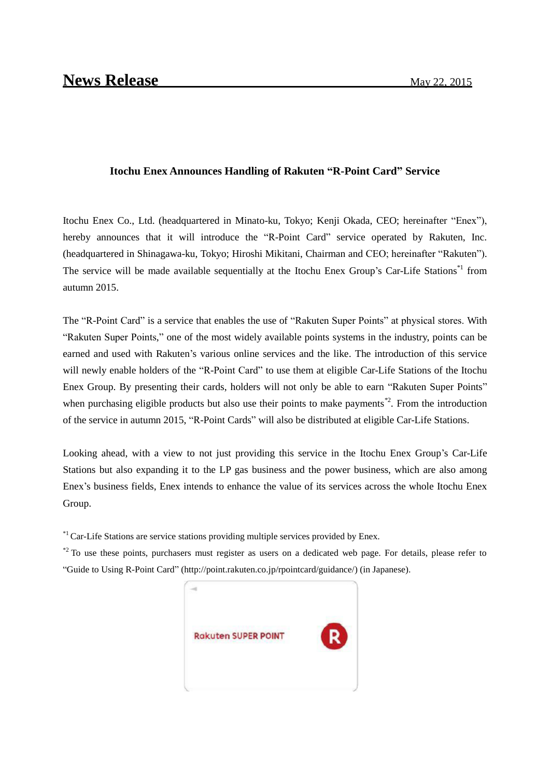## **Itochu Enex Announces Handling of Rakuten "R-Point Card" Service**

Itochu Enex Co., Ltd. (headquartered in Minato-ku, Tokyo; Kenji Okada, CEO; hereinafter "Enex"), hereby announces that it will introduce the "R-Point Card" service operated by Rakuten, Inc. (headquartered in Shinagawa-ku, Tokyo; Hiroshi Mikitani, Chairman and CEO; hereinafter "Rakuten"). The service will be made available sequentially at the Itochu Enex Group's Car-Life Stations<sup>\*1</sup> from autumn 2015.

The "R-Point Card" is a service that enables the use of "Rakuten Super Points" at physical stores. With "Rakuten Super Points," one of the most widely available points systems in the industry, points can be earned and used with Rakuten's various online services and the like. The introduction of this service will newly enable holders of the "R-Point Card" to use them at eligible Car-Life Stations of the Itochu Enex Group. By presenting their cards, holders will not only be able to earn "Rakuten Super Points" when purchasing eligible products but also use their points to make payments<sup>\*2</sup>. From the introduction of the service in autumn 2015, "R-Point Cards" will also be distributed at eligible Car-Life Stations.

Looking ahead, with a view to not just providing this service in the Itochu Enex Group's Car-Life Stations but also expanding it to the LP gas business and the power business, which are also among Enex's business fields, Enex intends to enhance the value of its services across the whole Itochu Enex Group.

 $*1$  Car-Life Stations are service stations providing multiple services provided by Enex.

 $*$ <sup>2</sup> To use these points, purchasers must register as users on a dedicated web page. For details, please refer to "Guide to Using R-Point Card" (http://point.rakuten.co.jp/rpointcard/guidance/) (in Japanese).